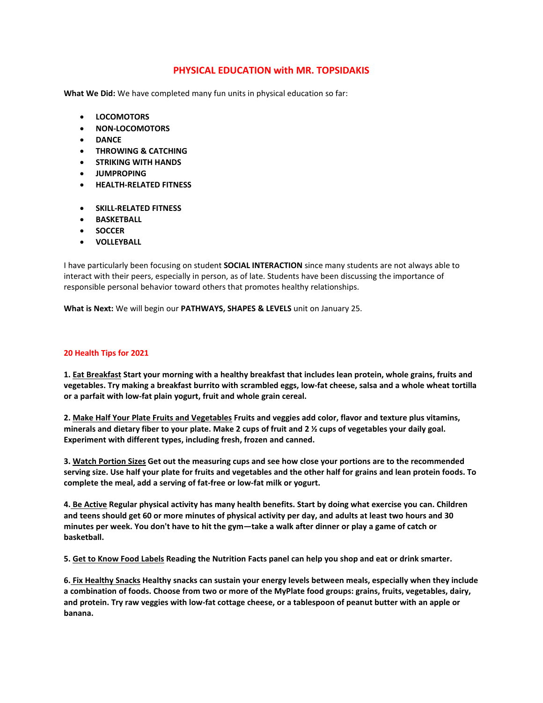## **PHYSICAL EDUCATION with MR. TOPSIDAKIS**

**What We Did:** We have completed many fun units in physical education so far:

- **LOCOMOTORS**
- **NON-LOCOMOTORS**
- **DANCE**
- **THROWING & CATCHING**
- **STRIKING WITH HANDS**
- **JUMPROPING**
- **HEALTH-RELATED FITNESS**
- **SKILL-RELATED FITNESS**
- **BASKETBALL**
- **SOCCER**
- **VOLLEYBALL**

I have particularly been focusing on student **SOCIAL INTERACTION** since many students are not always able to interact with their peers, especially in person, as of late. Students have been discussing the importance of responsible personal behavior toward others that promotes healthy relationships.

**What is Next:** We will begin our **PATHWAYS, SHAPES & LEVELS** unit on January 25.

## **20 Health Tips for 2021**

1. Eat Breakfast Start your morning with a healthy breakfast that includes lean protein, whole grains, fruits and vegetables. Try making a breakfast burrito with scrambled eggs, low-fat cheese, salsa and a whole wheat tortilla **or a parfait with low-fat plain yogurt, fruit and whole grain cereal.**

2. Make Half Your Plate Fruits and Vegetables Fruits and veggies add color, flavor and texture plus vitamins, minerals and dietary fiber to your plate. Make 2 cups of fruit and 2 1/2 cups of vegetables your daily goal. **Experiment with different types, including fresh, frozen and canned.**

3. Watch Portion Sizes Get out the measuring cups and see how close your portions are to the recommended serving size. Use half your plate for fruits and vegetables and the other half for grains and lean protein foods. To **complete the meal, add a serving of fat-free or low-fat milk or yogurt.**

4. Be Active Regular physical activity has many health benefits. Start by doing what exercise you can. Children and teens should get 60 or more minutes of physical activity per day, and adults at least two hours and 30 minutes per week. You don't have to hit the gym-take a walk after dinner or play a game of catch or **basketball.**

5. Get to Know Food Labels Reading the Nutrition Facts panel can help you shop and eat or drink smarter.

6. Fix Healthy Snacks Healthy snacks can sustain your energy levels between meals, especially when they include a combination of foods. Choose from two or more of the MyPlate food groups: grains, fruits, vegetables, dairy, and protein. Try raw veggies with low-fat cottage cheese, or a tablespoon of peanut butter with an apple or **banana.**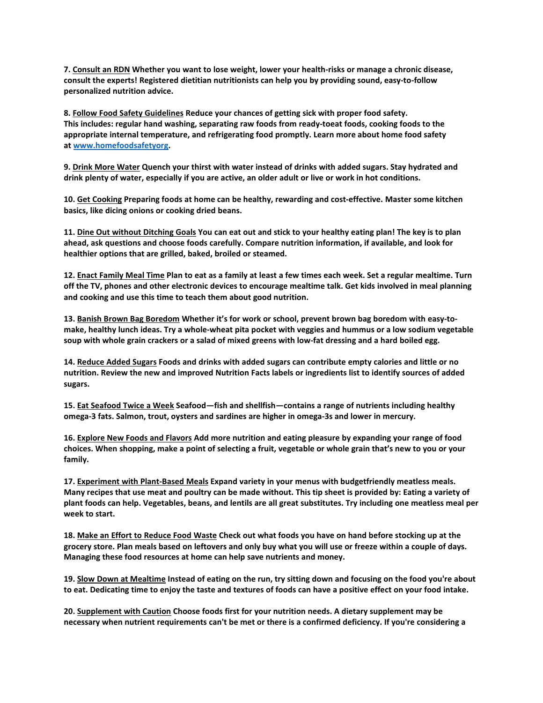7. Consult an RDN Whether you want to lose weight, lower your health-risks or manage a chronic disease, **consult the experts! Registered dietitian nutritionists can help you by providing sound, easy-to-follow personalized nutrition advice.**

**8. Follow Food Safety Guidelines Reduce your chances of getting sick with proper food safety. This includes: regular hand washing, separating raw foods from ready-toeat foods, cooking foods to the appropriate internal temperature, and refrigerating food promptly. Learn more about home food safety at www.homefoodsafetyorg.**

9. Drink More Water Quench your thirst with water instead of drinks with added sugars. Stay hydrated and drink plenty of water, especially if you are active, an older adult or live or work in hot conditions.

**10. Get Cooking Preparing foods at home can be healthy, rewarding and cost-effective. Master some kitchen basics, like dicing onions or cooking dried beans.**

11. Dine Out without Ditching Goals You can eat out and stick to your healthy eating plan! The key is to plan **ahead, ask questions and choose foods carefully. Compare nutrition information, if available, and look for healthier options that are grilled, baked, broiled or steamed.**

12. Enact Family Meal Time Plan to eat as a family at least a few times each week. Set a regular mealtime. Turn off the TV, phones and other electronic devices to encourage mealtime talk. Get kids involved in meal planning **and cooking and use this time to teach them about good nutrition.**

**13. Banish Brown Bag Boredom Whether it's for work or school, prevent brown bag boredom with easy-to**make, healthy lunch ideas. Try a whole-wheat pita pocket with veggies and hummus or a low sodium vegetable soup with whole grain crackers or a salad of mixed greens with low-fat dressing and a hard boiled egg.

14. Reduce Added Sugars Foods and drinks with added sugars can contribute empty calories and little or no nutrition. Review the new and improved Nutrition Facts labels or ingredients list to identify sources of added **sugars.**

15. Eat Seafood Twice a Week Seafood-fish and shellfish-contains a range of nutrients including healthy **omega-3 fats. Salmon, trout, oysters and sardines are higher in omega-3s and lower in mercury.**

16. Explore New Foods and Flavors Add more nutrition and eating pleasure by expanding your range of food choices. When shopping, make a point of selecting a fruit, vegetable or whole grain that's new to you or your **family.**

**17. Experiment with Plant-Based Meals Expand variety in your menus with budgetfriendly meatless meals.** Many recipes that use meat and poultry can be made without. This tip sheet is provided by: Eating a variety of plant foods can help. Vegetables, beans, and lentils are all great substitutes. Try including one meatless meal per **week to start.**

18. Make an Effort to Reduce Food Waste Check out what foods you have on hand before stocking up at the grocery store. Plan meals based on leftovers and only buy what you will use or freeze within a couple of days. **Managing these food resources at home can help save nutrients and money.**

19. Slow Down at Mealtime Instead of eating on the run, try sitting down and focusing on the food you're about to eat. Dedicating time to enjoy the taste and textures of foods can have a positive effect on your food intake.

**20. Supplement with Caution Choose foods first for your nutrition needs. A dietary supplement may be** necessary when nutrient requirements can't be met or there is a confirmed deficiency. If you're considering a